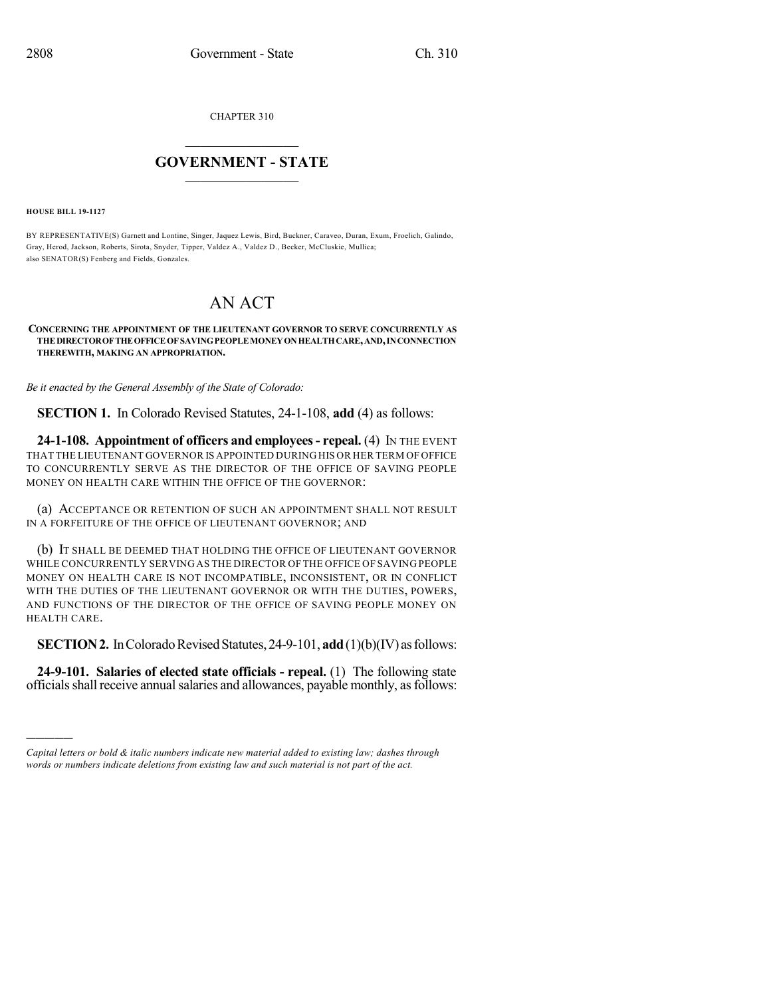CHAPTER 310

## $\mathcal{L}_\text{max}$  . The set of the set of the set of the set of the set of the set of the set of the set of the set of the set of the set of the set of the set of the set of the set of the set of the set of the set of the set **GOVERNMENT - STATE**  $\_$   $\_$   $\_$   $\_$   $\_$   $\_$   $\_$   $\_$   $\_$

**HOUSE BILL 19-1127**

)))))

BY REPRESENTATIVE(S) Garnett and Lontine, Singer, Jaquez Lewis, Bird, Buckner, Caraveo, Duran, Exum, Froelich, Galindo, Gray, Herod, Jackson, Roberts, Sirota, Snyder, Tipper, Valdez A., Valdez D., Becker, McCluskie, Mullica; also SENATOR(S) Fenberg and Fields, Gonzales.

## AN ACT

**CONCERNING THE APPOINTMENT OF THE LIEUTENANT GOVERNOR TO SERVE CONCURRENTLY AS THEDIRECTOROFTHEOFFICEOFSAVINGPEOPLEMONEYONHEALTHCARE,AND,INCONNECTION THEREWITH, MAKING AN APPROPRIATION.**

*Be it enacted by the General Assembly of the State of Colorado:*

**SECTION 1.** In Colorado Revised Statutes, 24-1-108, **add** (4) as follows:

**24-1-108. Appointment of officers and employees- repeal.** (4) IN THE EVENT THAT THE LIEUTENANT GOVERNOR IS APPOINTED DURING HIS OR HER TERM OF OFFICE TO CONCURRENTLY SERVE AS THE DIRECTOR OF THE OFFICE OF SAVING PEOPLE MONEY ON HEALTH CARE WITHIN THE OFFICE OF THE GOVERNOR:

(a) ACCEPTANCE OR RETENTION OF SUCH AN APPOINTMENT SHALL NOT RESULT IN A FORFEITURE OF THE OFFICE OF LIEUTENANT GOVERNOR; AND

(b) IT SHALL BE DEEMED THAT HOLDING THE OFFICE OF LIEUTENANT GOVERNOR WHILE CONCURRENTLY SERVING AS THE DIRECTOR OF THE OFFICE OF SAVING PEOPLE MONEY ON HEALTH CARE IS NOT INCOMPATIBLE, INCONSISTENT, OR IN CONFLICT WITH THE DUTIES OF THE LIEUTENANT GOVERNOR OR WITH THE DUTIES, POWERS, AND FUNCTIONS OF THE DIRECTOR OF THE OFFICE OF SAVING PEOPLE MONEY ON HEALTH CARE.

**SECTION 2.** In Colorado Revised Statutes, 24-9-101, **add**(1)(b)(IV) as follows:

**24-9-101. Salaries of elected state officials - repeal.** (1) The following state officials shall receive annual salaries and allowances, payable monthly, as follows:

*Capital letters or bold & italic numbers indicate new material added to existing law; dashes through words or numbers indicate deletions from existing law and such material is not part of the act.*